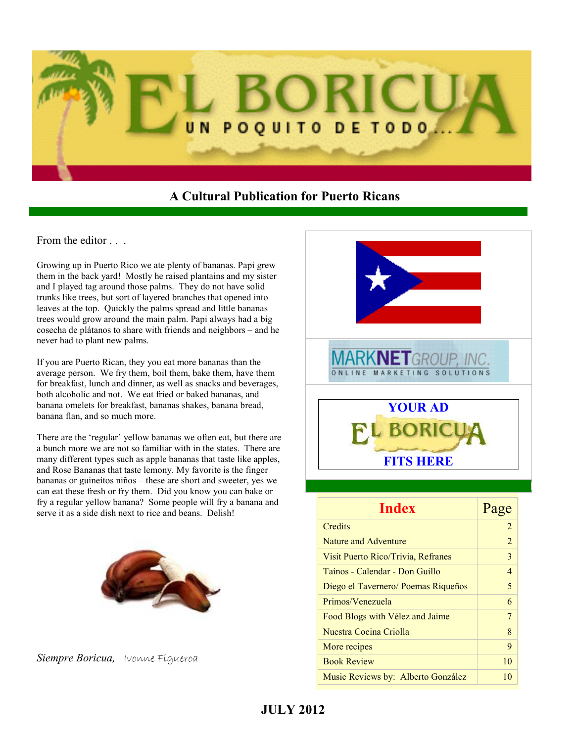

## **A Cultural Publication for Puerto Ricans**

From the editor  $\ldots$ 

Growing up in Puerto Rico we ate plenty of bananas. Papi grew them in the back yard! Mostly he raised plantains and my sister and I played tag around those palms. They do not have solid trunks like trees, but sort of layered branches that opened into leaves at the top. Quickly the palms spread and little bananas trees would grow around the main palm. Papi always had a big cosecha de plátanos to share with friends and neighbors – and he never had to plant new palms.

If you are Puerto Rican, they you eat more bananas than the average person. We fry them, boil them, bake them, have them for breakfast, lunch and dinner, as well as snacks and beverages, both alcoholic and not. We eat fried or baked bananas, and banana omelets for breakfast, bananas shakes, banana bread, banana flan, and so much more.

There are the 'regular' yellow bananas we often eat, but there are a bunch more we are not so familiar with in the states. There are many different types such as apple bananas that taste like apples, and Rose Bananas that taste lemony. My favorite is the finger bananas or guineítos niños – these are short and sweeter, yes we can eat these fresh or fry them. Did you know you can bake or fry a regular yellow banana? Some people will fry a banana and serve it as a side dish next to rice and beans. Delish!







| <b>Index</b>                        | Page           |
|-------------------------------------|----------------|
| Credits                             | $\overline{2}$ |
| Nature and Adventure                | 2              |
| Visit Puerto Rico/Trivia, Refranes  | 3              |
| Taínos - Calendar - Don Guillo      | $\overline{4}$ |
| Diego el Tavernero/ Poemas Riqueños | 5              |
| Primos/Venezuela                    | 6              |
| Food Blogs with Vélez and Jaime     | 7              |
| Nuestra Cocina Criolla              | 8              |
| More recipes                        | 9              |
| <b>Book Review</b>                  | 10             |
| Music Reviews by: Alberto González  | 10             |

# **JULY 2012**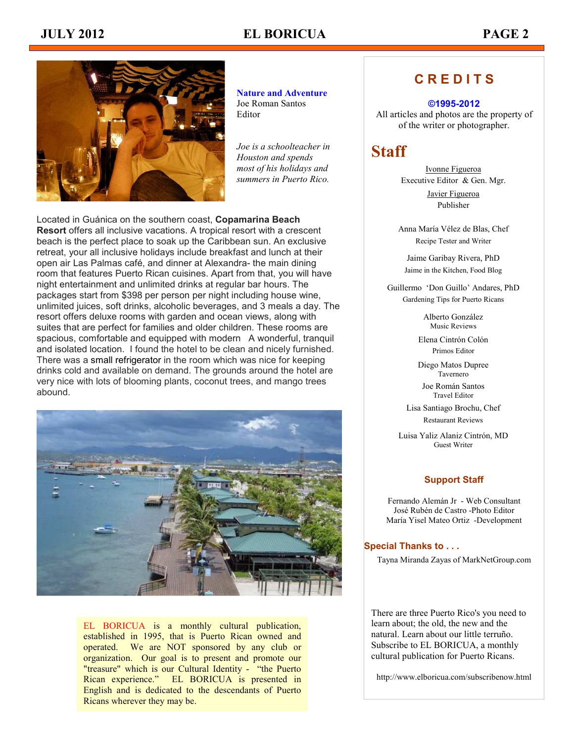# **JULY 2012 EL BORICUA PAGE 2**



**Nature and Adventure** Joe Roman Santos Editor

*Joe is a schoolteacher in Houston and spends most of his holidays and summers in Puerto Rico.* 

Located in Guánica on the southern coast, **Copamarina Beach Resort** offers all inclusive vacations. A tropical resort with a crescent beach is the perfect place to soak up the Caribbean sun. An exclusive retreat, your all inclusive holidays include breakfast and lunch at their open air Las Palmas café, and dinner at Alexandra- the main dining room that features Puerto Rican cuisines. Apart from that, you will have night entertainment and unlimited drinks at regular bar hours. The packages start from \$398 per person per night including house wine, unlimited juices, soft drinks, alcoholic beverages, and 3 meals a day. The resort offers deluxe rooms with garden and ocean views, along with suites that are perfect for families and older children. These rooms are spacious, comfortable and equipped with modern A wonderful, tranquil and isolated location. I found the hotel to be clean and nicely furnished. There was a small refrigerator in the room which was nice for keeping drinks cold and available on demand. The grounds around the hotel are very nice with lots of blooming plants, coconut trees, and mango trees abound.



EL BORICUA is a monthly cultural publication, established in 1995, that is Puerto Rican owned and operated. We are NOT sponsored by any club or organization. Our goal is to present and promote our "treasure" which is our Cultural Identity - "the Puerto Rican experience." EL BORICUA is presented in English and is dedicated to the descendants of Puerto Ricans wherever they may be.

# **C R E D I T S**

#### **©1995-2012**

All articles and photos are the property of of the writer or photographer.

# **Staff**

Ivonne Figueroa Executive Editor & Gen. Mgr.

> Javier Figueroa Publisher

Anna María Vélez de Blas, Chef Recipe Tester and Writer

Jaime Garibay Rivera, PhD Jaime in the Kitchen, Food Blog

Guillermo 'Don Guillo' Andares, PhD Gardening Tips for Puerto Ricans

> Alberto González Music Reviews

Elena Cintrón Colón Primos Editor

Diego Matos Dupree Tavernero

Joe Román Santos Travel Editor

Lisa Santiago Brochu, Chef Restaurant Reviews

Luisa Yaliz Alaniz Cintrón, MD Guest Writer

#### **Support Staff**

Fernando Alemán Jr - Web Consultant José Rubén de Castro -Photo Editor María Yisel Mateo Ortiz -Development

#### **Special Thanks to . . .**

Tayna Miranda Zayas of MarkNetGroup.com

There are three Puerto Rico's you need to learn about; the old, the new and the natural. Learn about our little terruño. Subscribe to EL BORICUA, a monthly cultural publication for Puerto Ricans.

http://www.elboricua.com/subscribenow.html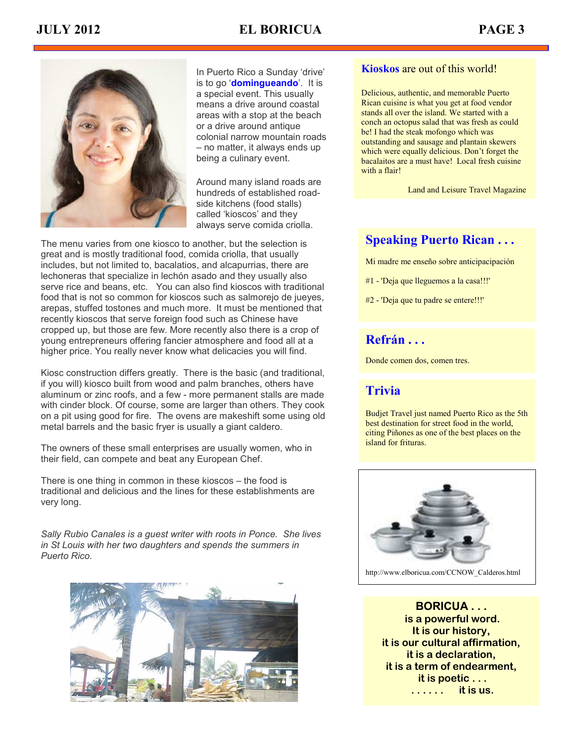

In Puerto Rico a Sunday 'drive' is to go '**domingueando**'. It is a special event. This usually means a drive around coastal areas with a stop at the beach or a drive around antique colonial narrow mountain roads – no matter, it always ends up being a culinary event.

Around many island roads are hundreds of established roadside kitchens (food stalls) called 'kioscos' and they always serve comida criolla.

The menu varies from one kiosco to another, but the selection is great and is mostly traditional food, comida criolla, that usually includes, but not limited to, bacalatios, and alcapurrias, there are lechoneras that specialize in lechón asado and they usually also serve rice and beans, etc. You can also find kioscos with traditional food that is not so common for kioscos such as salmorejo de jueyes, arepas, stuffed tostones and much more. It must be mentioned that recently kioscos that serve foreign food such as Chinese have cropped up, but those are few. More recently also there is a crop of young entrepreneurs offering fancier atmosphere and food all at a higher price. You really never know what delicacies you will find.

Kiosc construction differs greatly. There is the basic (and traditional, if you will) kiosco built from wood and palm branches, others have aluminum or zinc roofs, and a few - more permanent stalls are made with cinder block. Of course, some are larger than others. They cook on a pit using good for fire. The ovens are makeshift some using old metal barrels and the basic fryer is usually a giant caldero.

The owners of these small enterprises are usually women, who in their field, can compete and beat any European Chef.

There is one thing in common in these kioscos – the food is traditional and delicious and the lines for these establishments are very long.

*Sally Rubio Canales is a guest writer with roots in Ponce. She lives in St Louis with her two daughters and spends the summers in Puerto Rico.* 



### **Kioskos** are out of this world!

Delicious, authentic, and memorable Puerto Rican cuisine is what you get at food vendor stands all over the island. We started with a conch an octopus salad that was fresh as could be! I had the steak mofongo which was outstanding and sausage and plantain skewers which were equally delicious. Don't forget the bacalaitos are a must have! Local fresh cuisine with a flair!

Land and Leisure Travel Magazine

## **Speaking Puerto Rican . . .**

Mi madre me enseño sobre anticipacipación

- #1 'Deja que lleguemos a la casa!!!'
- #2 'Deja que tu padre se entere!!!'

# **Refrán . . .**

Donde comen dos, comen tres.

# **Trivia**

Budjet Travel just named Puerto Rico as the 5th best destination for street food in the world, citing Piñones as one of the best places on the island for frituras.



**BORICUA . . . is a powerful word. It is our history, it is our cultural affirmation, it is a declaration, it is a term of endearment, it is poetic . . . . . . . . . it is us.**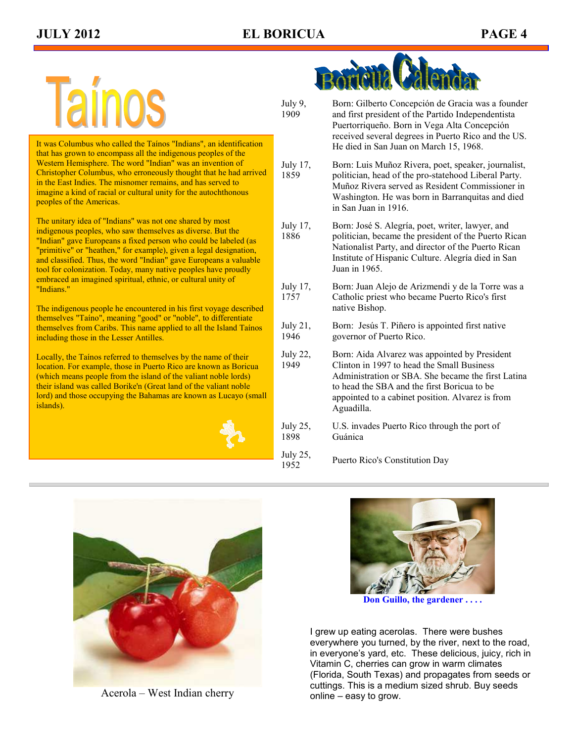It was Columbus who called the Taínos "Indians", an identification that has grown to encompass all the indigenous peoples of the Western Hemisphere. The word "Indian" was an invention of Christopher Columbus, who erroneously thought that he had arrived in the East Indies. The misnomer remains, and has served to imagine a kind of racial or cultural unity for the autochthonous peoples of the Americas.

The unitary idea of "Indians" was not one shared by most indigenous peoples, who saw themselves as diverse. But the "Indian" gave Europeans a fixed person who could be labeled (as "primitive" or "heathen," for example), given a legal designation, and classified. Thus, the word "Indian" gave Europeans a valuable tool for colonization. Today, many native peoples have proudly embraced an imagined spiritual, ethnic, or cultural unity of "Indians."

The indigenous people he encountered in his first voyage described themselves "Taíno", meaning "good" or "noble", to differentiate themselves from Caribs. This name applied to all the Island Taínos including those in the Lesser Antilles.

Locally, the Taínos referred to themselves by the name of their location. For example, those in Puerto Rico are known as Boricua (which means people from the island of the valiant noble lords) their island was called Borike'n (Great land of the valiant noble lord) and those occupying the Bahamas are known as Lucayo (small islands).





- Born: Gilberto Concepción de Gracia was a founder and first president of the Partido Independentista Puertorriqueño. Born in Vega Alta Concepción received several degrees in Puerto Rico and the US. He died in San Juan on March 15, 1968.
- July 17, 1859 Born: Luis Muñoz Rivera, poet, speaker, journalist, politician, head of the pro-statehood Liberal Party. Muñoz Rivera served as Resident Commissioner in Washington. He was born in Barranquitas and died in San Juan in 1916.
- July 17, 1886 Born: José S. Alegría, poet, writer, lawyer, and politician, became the president of the Puerto Rican Nationalist Party, and director of the Puerto Rican Institute of Hispanic Culture. Alegría died in San Juan in 1965.
- July 17, 1757 Born: Juan Alejo de Arizmendi y de la Torre was a Catholic priest who became Puerto Rico's first native Bishop.
- July 21, 1946 Born: Jesús T. Piñero is appointed first native governor of Puerto Rico.
- July 22, 1949 Born: Aida Alvarez was appointed by President Clinton in 1997 to head the Small Business Administration or SBA. She became the first Latina to head the SBA and the first Boricua to be appointed to a cabinet position. Alvarez is from Aguadilla.
- July 25, 1898 U.S. invades Puerto Rico through the port of Guánica

July 25,  $1952$ , Puerto Rico's Constitution Day



 $Acerola - West Indian cherry$ 



**Don Guillo, the gardener . . . .** 

I grew up eating acerolas. There were bushes everywhere you turned, by the river, next to the road, in everyone's yard, etc. These delicious, juicy, rich in Vitamin C, cherries can grow in warm climates (Florida, South Texas) and propagates from seeds or cuttings. This is a medium sized shrub. Buy seeds online – easy to grow.

July 9, 1909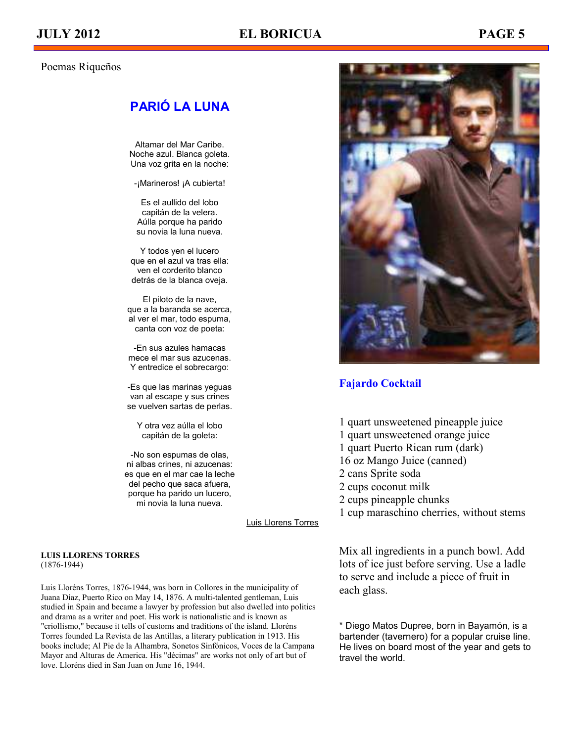### Poemas Riqueños

# **PARIÓ LA LUNA**

Altamar del Mar Caribe. Noche azul. Blanca goleta. Una voz grita en la noche:

-¡Marineros! ¡A cubierta!

Es el aullido del lobo capitán de la velera. Aúlla porque ha parido su novia la luna nueva.

Y todos yen el lucero que en el azul va tras ella: ven el corderito blanco detrás de la blanca oveja.

El piloto de la nave, que a la baranda se acerca, al ver el mar, todo espuma, canta con voz de poeta:

-En sus azules hamacas mece el mar sus azucenas. Y entredice el sobrecargo:

-Es que las marinas yeguas van al escape y sus crines se vuelven sartas de perlas.

Y otra vez aúlla el lobo capitán de la goleta:

-No son espumas de olas, ni albas crines, ni azucenas: es que en el mar cae la leche del pecho que saca afuera, porque ha parido un lucero, mi novia la luna nueva.

[Luis Llorens Torres](http://www.poemadeamor.org/poeta/luis-llorens-torres/901)

#### **LUIS LLORENS TORRES**  (1876-1944)

Luis Lloréns Torres, 1876-1944, was born in Collores in the municipality of Juana Díaz, Puerto Rico on May 14, 1876. A multi-talented gentleman, Luis studied in Spain and became a lawyer by profession but also dwelled into politics and drama as a writer and poet. His work is nationalistic and is known as "criollismo," because it tells of customs and traditions of the island. Lloréns Torres founded La Revista de las Antillas, a literary publication in 1913. His books include; Al Pie de la Alhambra, Sonetos Sinfónicos, Voces de la Campana Mayor and Alturas de America. His "décimas" are works not only of art but of love. Lloréns died in San Juan on June 16, 1944.



#### **Fajardo Cocktail**

1 quart unsweetened pineapple juice 1 quart unsweetened orange juice 1 quart Puerto Rican rum (dark) 16 oz Mango Juice (canned) 2 cans Sprite soda 2 cups coconut milk 2 cups pineapple chunks 1 cup maraschino cherries, without stems

Mix all ingredients in a punch bowl. Add lots of ice just before serving. Use a ladle to serve and include a piece of fruit in each glass.

\* Diego Matos Dupree, born in Bayamón, is a bartender (tavernero) for a popular cruise line. He lives on board most of the year and gets to travel the world.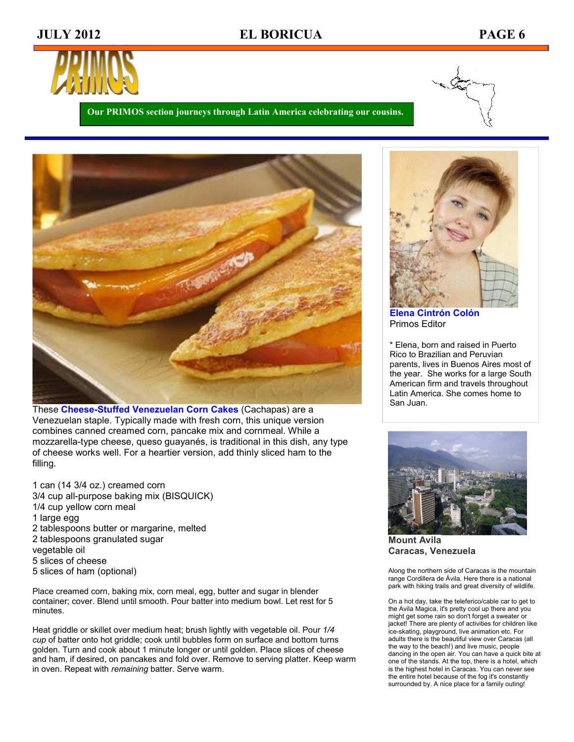# **JULY 2012 EL BORICUA PAGE 6**



**Our PRIMOS section journeys through Latin America celebrating our cousins.** 



These **Cheese-Stuffed Venezuelan Corn Cakes** (Cachapas) are a Venezuelan staple. Typically made with fresh corn, this unique version combines canned creamed corn, pancake mix and cornmeal. While a mozzarella-type cheese, queso guayanés, is traditional in this dish, any type of cheese works well. For a heartier version, add thinly sliced ham to the filling.

1 can (14 3/4 oz.) creamed corn 3/4 cup all-purpose baking mix (BISQUICK) 1/4 cup yellow corn meal 1 large egg 2 tablespoons butter or margarine, melted 2 tablespoons granulated sugar vegetable oil 5 slices of cheese 5 slices of ham (optional)

Place creamed corn, baking mix, corn meal, egg, butter and sugar in blender container; cover. Blend until smooth. Pour batter into medium bowl. Let rest for 5 minutes.

Heat griddle or skillet over medium heat; brush lightly with vegetable oil. Pour *1/4 cup* of batter onto hot griddle; cook until bubbles form on surface and bottom turns golden. Turn and cook about 1 minute longer or until golden. Place slices of cheese and ham, if desired, on pancakes and fold over. Remove to serving platter. Keep warm in oven. Repeat with *remaining* batter. Serve warm.



**Elena Cintrón Colón** Primos Editor

\* Elena, born and raised in Puerto Rico to Brazilian and Peruvian parents, lives in Buenos Aires most of the year. She works for a large South American firm and travels throughout Latin America. She comes home to San Juan.



**Mount Avila Caracas, Venezuela** 

Along the northern side of Caracas is the mountain range Cordillera de Ávila. Here there is a national park with hiking trails and great diversity of wildlife.

On a hot day, take the teleferico/cable car to get to the Avila Magica, it's pretty cool up there and you might get some rain so don't forget a sweater or jacket! There are plenty of activities for children like ice-skating, playground, live animation etc. For adults there is the beautiful view over Caracas (all the way to the beach!) and live music, people dancing in the open air. You can have a quick bite at one of the stands. At the top, there is a hotel, which is the highest hotel in Caracas. You can never see the entire hotel because of the fog it's constantly surrounded by. A nice place for a family outing!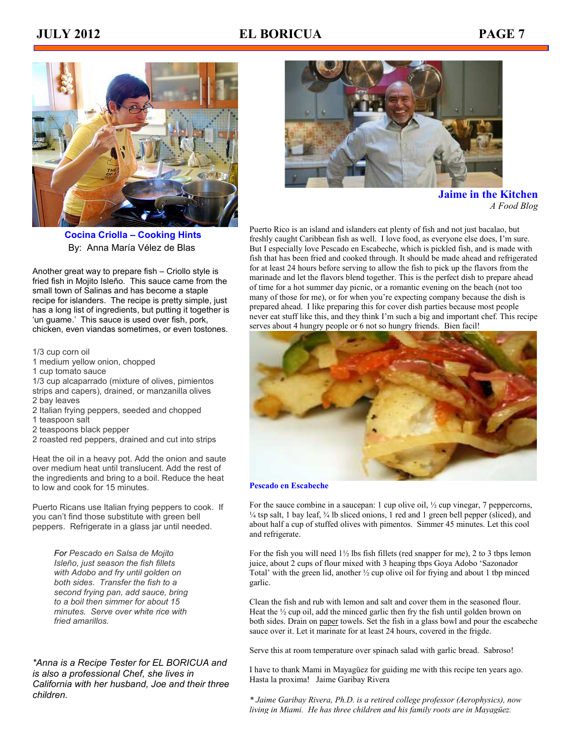

 **Cocina Criolla – Cooking Hints**  By: Anna María Vélez de Blas

Another great way to prepare fish – Criollo style is fried fish in Mojito Isleño. This sauce came from the small town of Salinas and has become a staple recipe for islanders. The recipe is pretty simple, just has a long list of ingredients, but putting it together is 'un guame.' This sauce is used over fish, pork, chicken, even viandas sometimes, or even tostones.

1/3 cup corn oil

- 1 medium yellow onion, chopped
- 1 cup tomato sauce
- 1/3 cup alcaparrado (mixture of olives, pimientos strips and capers), drained, or manzanilla olives 2 bay leaves
- 2 Italian frying peppers, seeded and chopped
- 1 teaspoon salt
- 2 teaspoons black pepper
- 2 roasted red peppers, drained and cut into strips

Heat the oil in a heavy pot. Add the onion and saute over medium heat until translucent. Add the rest of the ingredients and bring to a boil. Reduce the heat to low and cook for 15 minutes.

Puerto Ricans use Italian frying peppers to cook. If you can't find those substitute with green bell peppers. Refrigerate in a glass jar until needed.

> *For Pescado en Salsa de Mojito Isleño, just season the fish fillets with Adobo and fry until golden on both sides. Transfer the fish to a second frying pan, add sauce, bring to a boil then simmer for about 15 minutes. Serve over white rice with fried amarillos.*

*\*Anna is a Recipe Tester for EL BORICUA and is also a professional Chef, she lives in California with her husband, Joe and their three children.*



**Jaime in the Kitchen**  *A Food Blog* 

Puerto Rico is an island and islanders eat plenty of fish and not just bacalao, but freshly caught Caribbean fish as well. I love food, as everyone else does, I'm sure. But I especially love Pescado en Escabeche, which is pickled fish, and is made with fish that has been fried and cooked through. It should be made ahead and refrigerated for at least 24 hours before serving to allow the fish to pick up the flavors from the marinade and let the flavors blend together. This is the perfect dish to prepare ahead of time for a hot summer day picnic, or a romantic evening on the beach (not too many of those for me), or for when you're expecting company because the dish is prepared ahead. I like preparing this for cover dish parties because most people never eat stuff like this, and they think I'm such a big and important chef. This recipe serves about 4 hungry people or 6 not so hungry friends. Bien facil!



#### **Pescado en Escabeche**

For the sauce combine in a saucepan: 1 cup olive oil, ½ cup vinegar, 7 peppercorns,  $\frac{1}{4}$  tsp salt, 1 bay leaf,  $\frac{3}{4}$  lb sliced onions, 1 red and 1 green bell pepper (sliced), and about half a cup of stuffed olives with pimentos. Simmer 45 minutes. Let this cool and refrigerate.

For the fish you will need  $1\frac{1}{2}$  lbs fish fillets (red snapper for me), 2 to 3 tbps lemon juice, about 2 cups of flour mixed with 3 heaping tbps Goya Adobo 'Sazonador Total' with the green lid, another ½ cup olive oil for frying and about 1 tbp minced garlic.

Clean the fish and rub with lemon and salt and cover them in the seasoned flour. Heat the  $\frac{1}{2}$  cup oil, add the minced garlic then fry the fish until golden brown on both sides. Drain on [paper](http://www.cafedepuertorico.com/59.html) towels. Set the fish in a glass bowl and pour the escabeche sauce over it. Let it marinate for at least 24 hours, covered in the frigde.

Serve this at room temperature over spinach salad with garlic bread. Sabroso!

I have to thank Mami in Mayagüez for guiding me with this recipe ten years ago. Hasta la proxima! Jaime Garibay Rivera

*\* Jaime Garibay Rivera, Ph.D. is a retired college professor (Aerophysics), now living in Miami. He has three children and his family roots are in Mayagüez.*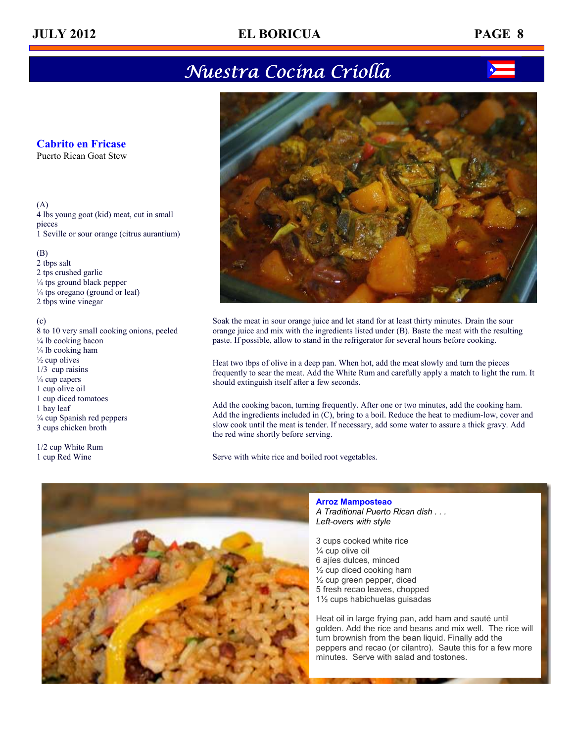# Nuestra Cocina Criolla

### **Cabrito en Fricase**

Puerto Rican Goat Stew

#### (A) 4 lbs young goat (kid) meat, cut in small pieces 1 Seville or sour orange (citrus aurantium)

#### (B)

2 tbps salt 2 tps crushed garlic ¼ tps ground black pepper  $\frac{1}{4}$  tps oregano (ground or leaf) 2 tbps wine vinegar

#### (c)

8 to 10 very small cooking onions, peeled ¼ lb cooking bacon  $\frac{1}{4}$  lb cooking ham  $\frac{1}{2}$  cup olives 1/3 cup raisins ¼ cup capers 1 cup olive oil 1 cup diced tomatoes 1 bay leaf ¼ cup Spanish red peppers 3 cups chicken broth

1/2 cup White Rum 1 cup Red Wine



Soak the meat in sour orange juice and let stand for at least thirty minutes. Drain the sour orange juice and mix with the ingredients listed under (B). Baste the meat with the resulting paste. If possible, allow to stand in the refrigerator for several hours before cooking.

Heat two tbps of olive in a deep pan. When hot, add the meat slowly and turn the pieces frequently to sear the meat. Add the White Rum and carefully apply a match to light the rum. It should extinguish itself after a few seconds.

Add the cooking bacon, turning frequently. After one or two minutes, add the cooking ham. Add the ingredients included in (C), bring to a boil. Reduce the heat to medium-low, cover and slow cook until the meat is tender. If necessary, add some water to assure a thick gravy. Add the red wine shortly before serving.

Serve with white rice and boiled root vegetables.



**Arroz Mamposteao** *A Traditional Puerto Rican dish . . . Left-overs with style* 

3 cups cooked white rice ¼ cup olive oil 6 ajíes dulces, minced ½ cup diced cooking ham ½ cup green pepper, diced 5 fresh recao leaves, chopped 1½ cups habichuelas guisadas

Heat oil in large frying pan, add ham and sauté until golden. Add the rice and beans and mix well. The rice will turn brownish from the bean liquid. Finally add the peppers and recao (or cilantro). Saute this for a few more minutes. Serve with salad and tostones.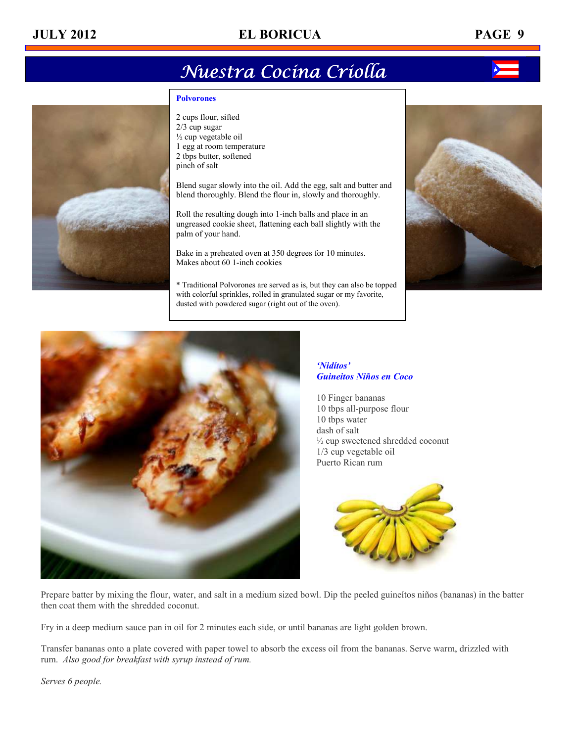# **JULY 2012 EL BORICUA PAGE 9**

# Nuestra Cocina Criolla

#### **Polvorones**

2 cups flour, sifted 2/3 cup sugar ½ cup vegetable oil 1 egg at room temperature 2 tbps butter, softened pinch of salt

Blend sugar slowly into the oil. Add the egg, salt and butter and blend thoroughly. Blend the flour in, slowly and thoroughly.

Roll the resulting dough into 1-inch balls and place in an ungreased cookie sheet, flattening each ball slightly with the palm of your hand.

Bake in a preheated oven at 350 degrees for 10 minutes. Makes about 60 1-inch cookies

\* Traditional Polvorones are served as is, but they can also be topped with colorful sprinkles, rolled in granulated sugar or my favorite, dusted with powdered sugar (right out of the oven).





#### *'Nidítos' Guineitos Niños en Coco*

10 Finger bananas 10 tbps all-purpose flour 10 tbps water dash of salt ½ cup sweetened shredded coconut 1/3 cup vegetable oil Puerto Rican rum



Prepare batter by mixing the flour, water, and salt in a medium sized bowl. Dip the peeled guineítos niños (bananas) in the batter then coat them with the shredded coconut.

Fry in a deep medium sauce pan in oil for 2 minutes each side, or until bananas are light golden brown.

Transfer bananas onto a plate covered with paper towel to absorb the excess oil from the bananas. Serve warm, drizzled with rum. *Also good for breakfast with syrup instead of rum.* 

*Serves 6 people.*